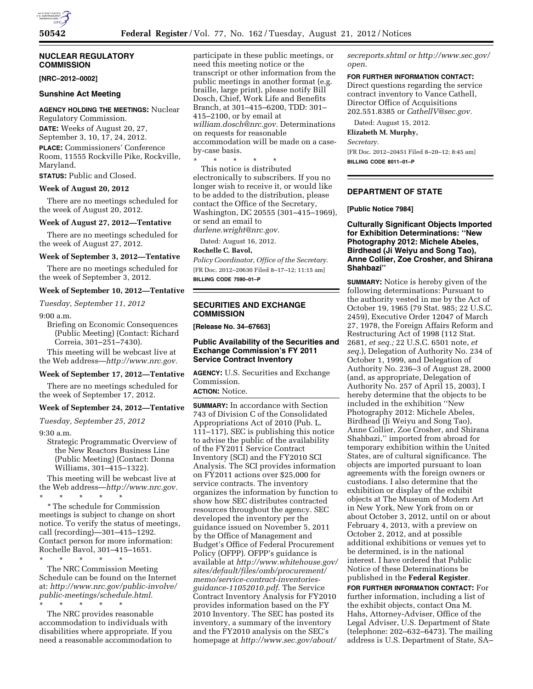# **NUCLEAR REGULATORY COMMISSION**

**[NRC–2012–0002]** 

# **Sunshine Act Meeting**

## **AGENCY HOLDING THE MEETINGS:** Nuclear

Regulatory Commission. **DATE:** Weeks of August 20, 27, September 3, 10, 17, 24, 2012. **PLACE:** Commissioners' Conference Room, 11555 Rockville Pike, Rockville, Maryland.

**STATUS:** Public and Closed.

## **Week of August 20, 2012**

There are no meetings scheduled for the week of August 20, 2012.

## **Week of August 27, 2012—Tentative**

There are no meetings scheduled for the week of August 27, 2012.

# **Week of September 3, 2012—Tentative**

There are no meetings scheduled for the week of September 3, 2012.

## **Week of September 10, 2012—Tentative**

*Tuesday, September 11, 2012* 

### 9:00 a.m.

Briefing on Economic Consequences (Public Meeting) (Contact: Richard Correia, 301–251–7430).

This meeting will be webcast live at the Web address—*[http://www.nrc.gov.](http://www.nrc.gov)* 

### **Week of September 17, 2012—Tentative**

There are no meetings scheduled for the week of September 17, 2012.

#### **Week of September 24, 2012—Tentative**

*Tuesday, September 25, 2012* 

9:30 a.m.

Strategic Programmatic Overview of the New Reactors Business Line (Public Meeting) (Contact: Donna Williams, 301–415–1322).

This meeting will be webcast live at the Web address—*[http://www.nrc.gov.](http://www.nrc.gov)*  \* \* \* \* \*

\* The schedule for Commission meetings is subject to change on short notice. To verify the status of meetings, call (recording)—301–415–1292. Contact person for more information: Rochelle Bavol, 301–415–1651.

\* \* \* \* \* The NRC Commission Meeting Schedule can be found on the Internet at: *[http://www.nrc.gov/public-involve/](http://www.nrc.gov/public-involve/public-meetings/schedule.html) [public-meetings/schedule.html.](http://www.nrc.gov/public-involve/public-meetings/schedule.html)* 

\* \* \* \* \* The NRC provides reasonable accommodation to individuals with disabilities where appropriate. If you need a reasonable accommodation to participate in these public meetings, or need this meeting notice or the transcript or other information from the public meetings in another format (e.g. braille, large print), please notify Bill Dosch, Chief, Work Life and Benefits Branch, at 301–415–6200, TDD: 301– 415–2100, or by email at *[william.dosch@nrc.gov.](mailto:william.dosch@nrc.gov)* Determinations on requests for reasonable accommodation will be made on a caseby-case basis.

\* \* \* \* \* This notice is distributed electronically to subscribers. If you no longer wish to receive it, or would like to be added to the distribution, please contact the Office of the Secretary, Washington, DC 20555 (301–415–1969), or send an email to *[darlene.wright@nrc.gov.](mailto:darlene.wright@nrc.gov)* 

Dated: August 16, 2012.

### **Rochelle C. Bavol,**

*Policy Coordinator, Office of the Secretary.*  [FR Doc. 2012–20630 Filed 8–17–12; 11:15 am] **BILLING CODE 7590–01–P** 

**SECURITIES AND EXCHANGE COMMISSION** 

**[Release No. 34–67663]** 

# **Public Availability of the Securities and Exchange Commission's FY 2011 Service Contract Inventory**

**AGENCY:** U.S. Securities and Exchange Commission.

**ACTION:** Notice.

**SUMMARY:** In accordance with Section 743 of Division C of the Consolidated Appropriations Act of 2010 (Pub. L. 111–117), SEC is publishing this notice to advise the public of the availability of the FY2011 Service Contract Inventory (SCI) and the FY2010 SCI Analysis. The SCI provides information on FY2011 actions over \$25,000 for service contracts. The inventory organizes the information by function to show how SEC distributes contracted resources throughout the agency. SEC developed the inventory per the guidance issued on November 5, 2011 by the Office of Management and Budget's Office of Federal Procurement Policy (OFPP). OFPP's guidance is available at *[http://www.whitehouse.gov/](http://www.whitehouse.gov/sites/default/files/omb/procurement/memo/service-contract-inventories-guidance-11052010.pdf) [sites/default/files/omb/procurement/](http://www.whitehouse.gov/sites/default/files/omb/procurement/memo/service-contract-inventories-guidance-11052010.pdf) [memo/service-contract-inventories](http://www.whitehouse.gov/sites/default/files/omb/procurement/memo/service-contract-inventories-guidance-11052010.pdf)[guidance-11052010.pdf](http://www.whitehouse.gov/sites/default/files/omb/procurement/memo/service-contract-inventories-guidance-11052010.pdf)*. The Service Contract Inventory Analysis for FY2010 provides information based on the FY 2010 Inventory. The SEC has posted its inventory, a summary of the inventory and the FY2010 analysis on the SEC's homepage at *[http://www.sec.gov/about/](http://www.sec.gov/about/secreports.shtml)* 

*[secreports.shtml o](http://www.sec.gov/about/secreports.shtml)r [http://www.sec.gov/](http://www.sec.gov/open)  [open](http://www.sec.gov/open)*.

### **FOR FURTHER INFORMATION CONTACT:**

Direct questions regarding the service contract inventory to Vance Cathell, Director Office of Acquisitions 202.551.8385 or *[CathellV@sec.gov.](mailto:CathellV@sec.gov)* 

Dated: August 15, 2012.

**Elizabeth M. Murphy,**  *Secretary.* 

[FR Doc. 2012–20451 Filed 8–20–12; 8:45 am] **BILLING CODE 8011–01–P** 

# **DEPARTMENT OF STATE**

## **[Public Notice 7984]**

**Culturally Significant Objects Imported for Exhibition Determinations: ''New Photography 2012: Michele Abeles, Birdhead (Ji Weiyu and Song Tao), Anne Collier, Zoe Crosher, and Shirana Shahbazi''** 

**SUMMARY:** Notice is hereby given of the following determinations: Pursuant to the authority vested in me by the Act of October 19, 1965 (79 Stat. 985; 22 U.S.C. 2459), Executive Order 12047 of March 27, 1978, the Foreign Affairs Reform and Restructuring Act of 1998 (112 Stat. 2681, *et seq.;* 22 U.S.C. 6501 note, *et seq.*), Delegation of Authority No. 234 of October 1, 1999, and Delegation of Authority No. 236–3 of August 28, 2000 (and, as appropriate, Delegation of Authority No. 257 of April 15, 2003), I hereby determine that the objects to be included in the exhibition ''New Photography 2012: Michele Abeles, Birdhead (Ji Weiyu and Song Tao), Anne Collier, Zoe Crosher, and Shirana Shahbazi,'' imported from abroad for temporary exhibition within the United States, are of cultural significance. The objects are imported pursuant to loan agreements with the foreign owners or custodians. I also determine that the exhibition or display of the exhibit objects at The Museum of Modern Art in New York, New York from on or about October 3, 2012, until on or about February 4, 2013, with a preview on October 2, 2012, and at possible additional exhibitions or venues yet to be determined, is in the national interest. I have ordered that Public Notice of these Determinations be published in the **Federal Register**.

**FOR FURTHER INFORMATION CONTACT:** For further information, including a list of the exhibit objects, contact Ona M. Hahs, Attorney-Adviser, Office of the Legal Adviser, U.S. Department of State (telephone: 202–632–6473). The mailing address is U.S. Department of State, SA–